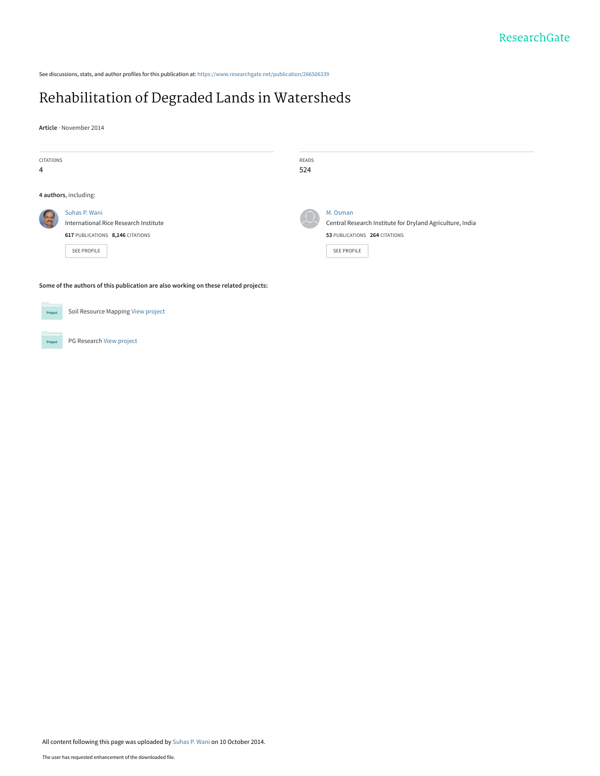See discussions, stats, and author profiles for this publication at: [https://www.researchgate.net/publication/266506339](https://www.researchgate.net/publication/266506339_Rehabilitation_of_Degraded_Lands_in_Watersheds?enrichId=rgreq-7dee96e072f4fe6637b029acb6e7e27a-XXX&enrichSource=Y292ZXJQYWdlOzI2NjUwNjMzOTtBUzoxNTA1Nzg4NjQ4NTcwOTNAMTQxMjkxMjIwNzY5Ng%3D%3D&el=1_x_2&_esc=publicationCoverPdf)

# [Rehabilitation of Degraded Lands in Watersheds](https://www.researchgate.net/publication/266506339_Rehabilitation_of_Degraded_Lands_in_Watersheds?enrichId=rgreq-7dee96e072f4fe6637b029acb6e7e27a-XXX&enrichSource=Y292ZXJQYWdlOzI2NjUwNjMzOTtBUzoxNTA1Nzg4NjQ4NTcwOTNAMTQxMjkxMjIwNzY5Ng%3D%3D&el=1_x_3&_esc=publicationCoverPdf)

**Article** · November 2014

| CITATIONS                                                                           |                                                                                                                  | READS |                                                                                                                              |  |  |  |
|-------------------------------------------------------------------------------------|------------------------------------------------------------------------------------------------------------------|-------|------------------------------------------------------------------------------------------------------------------------------|--|--|--|
| 4                                                                                   |                                                                                                                  | 524   |                                                                                                                              |  |  |  |
| 4 authors, including:                                                               |                                                                                                                  |       |                                                                                                                              |  |  |  |
|                                                                                     | Suhas P. Wani<br>International Rice Research Institute<br>617 PUBLICATIONS 8,146 CITATIONS<br><b>SEE PROFILE</b> |       | M. Osman<br>Central Research Institute for Dryland Agriculture, India<br>53 PUBLICATIONS 264 CITATIONS<br><b>SEE PROFILE</b> |  |  |  |
| Some of the authors of this publication are also working on these related projects: |                                                                                                                  |       |                                                                                                                              |  |  |  |

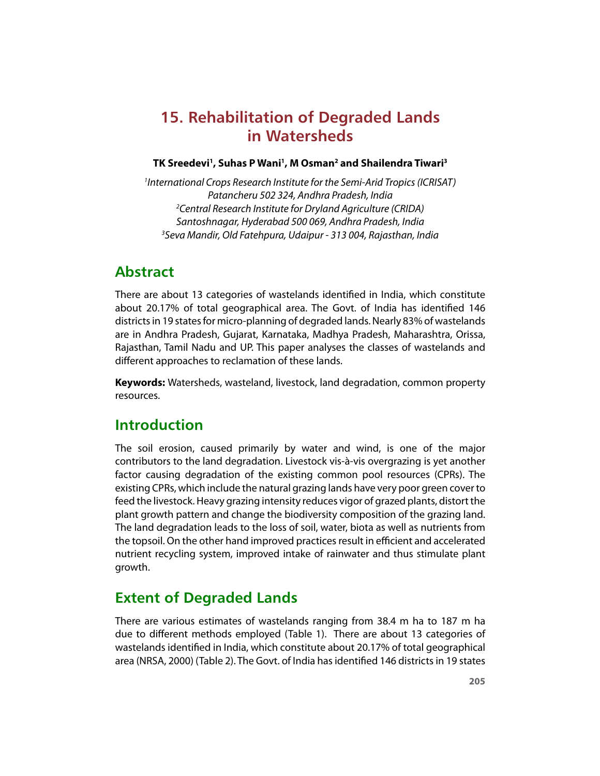# **15. Rehabilitation of Degraded Lands in Watersheds**

#### **TK Sreedevi<sup>1</sup> , Suhas P Wani<sup>1</sup> , M Osman<sup>2</sup> and Shailendra Tiwari<sup>3</sup>**

<sup>1</sup>International Crops Research Institute for the Semi-Arid Tropics (ICRISAT) Patancheru 502 324, Andhra Pradesh, India <sup>2</sup>Central Research Institute for Dryland Agriculture (CRIDA) Santoshnagar, Hyderabad 500 069, Andhra Pradesh, India <sup>3</sup>Seva Mandir, Old Fatehpura, Udaipur - 313 004, Rajasthan, India

## **Abstract**

There are about 13 categories of wastelands identified in India, which constitute about 20.17% of total geographical area. The Govt. of India has identified 146 districts in 19 states for micro-planning of degraded lands. Nearly 83% of wastelands are in Andhra Pradesh, Gujarat, Karnataka, Madhya Pradesh, Maharashtra, Orissa, Rajasthan, Tamil Nadu and UP. This paper analyses the classes of wastelands and different approaches to reclamation of these lands.

**Keywords:** Watersheds, wasteland, livestock, land degradation, common property resources.

## **Introduction**

The soil erosion, caused primarily by water and wind, is one of the major contributors to the land degradation. Livestock vis-à-vis overgrazing is yet another factor causing degradation of the existing common pool resources (CPRs). The existing CPRs, which include the natural grazing lands have very poor green cover to feed the livestock. Heavy grazing intensity reduces vigor of grazed plants, distort the plant growth pattern and change the biodiversity composition of the grazing land. The land degradation leads to the loss of soil, water, biota as well as nutrients from the topsoil. On the other hand improved practices result in efficient and accelerated nutrient recycling system, improved intake of rainwater and thus stimulate plant growth.

# **Extent of Degraded Lands**

There are various estimates of wastelands ranging from 38.4 m ha to 187 m ha due to different methods employed (Table 1). There are about 13 categories of wastelands identified in India, which constitute about 20.17% of total geographical area (NRSA, 2000) (Table 2). The Govt. of India has identified 146 districts in 19 states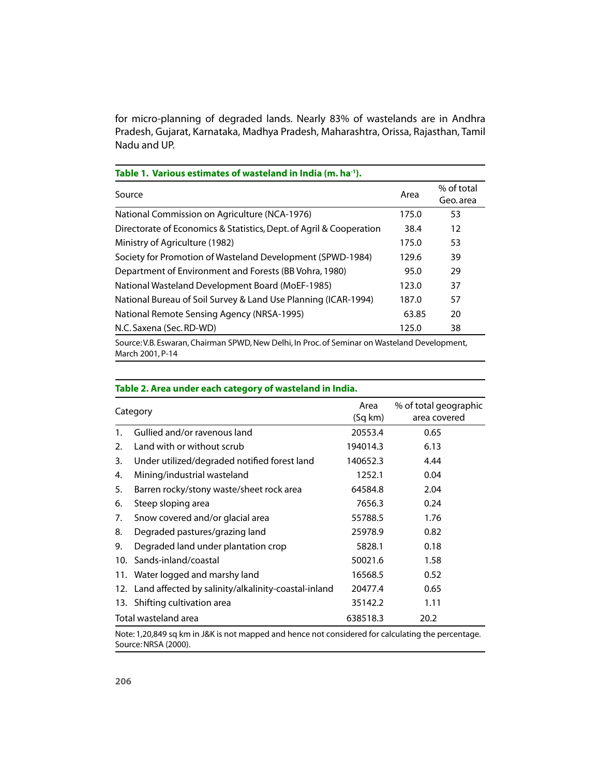for micro-planning of degraded lands. Nearly 83% of wastelands are in Andhra Pradesh, Gujarat, Karnataka, Madhya Pradesh, Maharashtra, Orissa, Rajasthan, Tamil Nadu and UP.

| Table 1. Various estimates of wasteland in India (m. ha <sup>-1</sup> ).                 |       |                         |  |  |
|------------------------------------------------------------------------------------------|-------|-------------------------|--|--|
| Source                                                                                   |       | % of total<br>Geo. area |  |  |
| National Commission on Agriculture (NCA-1976)                                            | 175.0 | 53                      |  |  |
| Directorate of Economics & Statistics, Dept. of Agril & Cooperation                      | 38.4  | 12                      |  |  |
| Ministry of Agriculture (1982)                                                           | 175.0 | 53                      |  |  |
| Society for Promotion of Wasteland Development (SPWD-1984)                               | 129.6 | 39                      |  |  |
| Department of Environment and Forests (BB Vohra, 1980)                                   | 95.0  | 29                      |  |  |
| National Wasteland Development Board (MoEF-1985)                                         | 123.0 | 37                      |  |  |
| National Bureau of Soil Survey & Land Use Planning (ICAR-1994)                           | 187.0 | 57                      |  |  |
| National Remote Sensing Agency (NRSA-1995)                                               | 63.85 | 20                      |  |  |
| N.C. Saxena (Sec. RD-WD)                                                                 | 125.0 | 38                      |  |  |
| Course U.D. Esugran Chairman CDU/D Nou Delhi In Dres of Cominar on Wasteland Douglanment |       |                         |  |  |

Source: V.B. Eswaran, Chairman SPWD, New Delhi, In Proc. of Seminar on Wasteland Development, March 2001, P-14

| Category             |                                                         | Area<br>(Sq km) | % of total geographic<br>area covered |
|----------------------|---------------------------------------------------------|-----------------|---------------------------------------|
| 1.                   | Gullied and/or ravenous land                            | 20553.4         | 0.65                                  |
| 2.                   | Land with or without scrub                              | 194014.3        | 6.13                                  |
| 3.                   | Under utilized/degraded notified forest land            | 140652.3        | 4.44                                  |
| 4.                   | Mining/industrial wasteland                             | 1252.1          | 0.04                                  |
| 5.                   | Barren rocky/stony waste/sheet rock area                | 64584.8         | 2.04                                  |
| 6.                   | Steep sloping area                                      | 7656.3          | 0.24                                  |
| 7.                   | Snow covered and/or glacial area                        | 55788.5         | 1.76                                  |
| 8.                   | Degraded pastures/grazing land                          | 25978.9         | 0.82                                  |
| 9.                   | Degraded land under plantation crop                     | 5828.1          | 0.18                                  |
| 10.                  | Sands-inland/coastal                                    | 50021.6         | 1.58                                  |
|                      | 11. Water logged and marshy land                        | 16568.5         | 0.52                                  |
|                      | 12. Land affected by salinity/alkalinity-coastal-inland | 20477.4         | 0.65                                  |
|                      | 13. Shifting cultivation area                           | 35142.2         | 1.11                                  |
| Total wasteland area |                                                         | 638518.3        | 20.2                                  |

#### **Table 2. Area under each category of wasteland in India.**

Note: 1,20,849 sq km in J&K is not mapped and hence not considered for calculating the percentage. Source: NRSA (2000).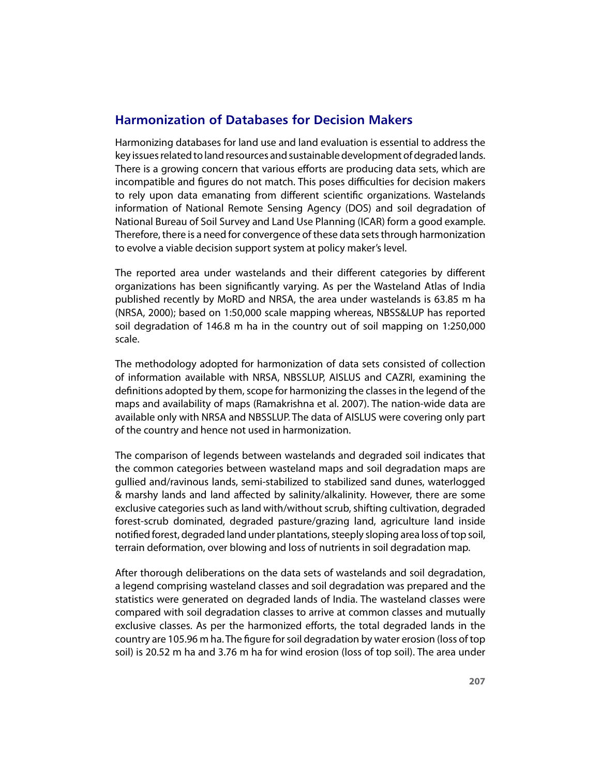### **Harmonization of Databases for Decision Makers**

Harmonizing databases for land use and land evaluation is essential to address the key issues related to land resources and sustainable development of degraded lands. There is a growing concern that various efforts are producing data sets, which are incompatible and figures do not match. This poses difficulties for decision makers to rely upon data emanating from different scientific organizations. Wastelands information of National Remote Sensing Agency (DOS) and soil degradation of National Bureau of Soil Survey and Land Use Planning (ICAR) form a good example. Therefore, there is a need for convergence of these data sets through harmonization to evolve a viable decision support system at policy maker's level.

The reported area under wastelands and their different categories by different organizations has been significantly varying. As per the Wasteland Atlas of India published recently by MoRD and NRSA, the area under wastelands is 63.85 m ha (NRSA, 2000); based on 1:50,000 scale mapping whereas, NBSS&LUP has reported soil degradation of 146.8 m ha in the country out of soil mapping on 1:250,000 scale.

The methodology adopted for harmonization of data sets consisted of collection of information available with NRSA, NBSSLUP, AISLUS and CAZRI, examining the definitions adopted by them, scope for harmonizing the classes in the legend of the maps and availability of maps (Ramakrishna et al. 2007). The nation-wide data are available only with NRSA and NBSSLUP. The data of AISLUS were covering only part of the country and hence not used in harmonization.

The comparison of legends between wastelands and degraded soil indicates that the common categories between wasteland maps and soil degradation maps are gullied and/ravinous lands, semi-stabilized to stabilized sand dunes, waterlogged & marshy lands and land a1ected by salinity/alkalinity. However, there are some exclusive categories such as land with/without scrub, shifting cultivation, degraded forest-scrub dominated, degraded pasture/grazing land, agriculture land inside notified forest, degraded land under plantations, steeply sloping area loss of top soil, terrain deformation, over blowing and loss of nutrients in soil degradation map.

After thorough deliberations on the data sets of wastelands and soil degradation, a legend comprising wasteland classes and soil degradation was prepared and the statistics were generated on degraded lands of India. The wasteland classes were compared with soil degradation classes to arrive at common classes and mutually exclusive classes. As per the harmonized efforts, the total degraded lands in the country are 105.96 m ha. The figure for soil degradation by water erosion (loss of top soil) is 20.52 m ha and 3.76 m ha for wind erosion (loss of top soil). The area under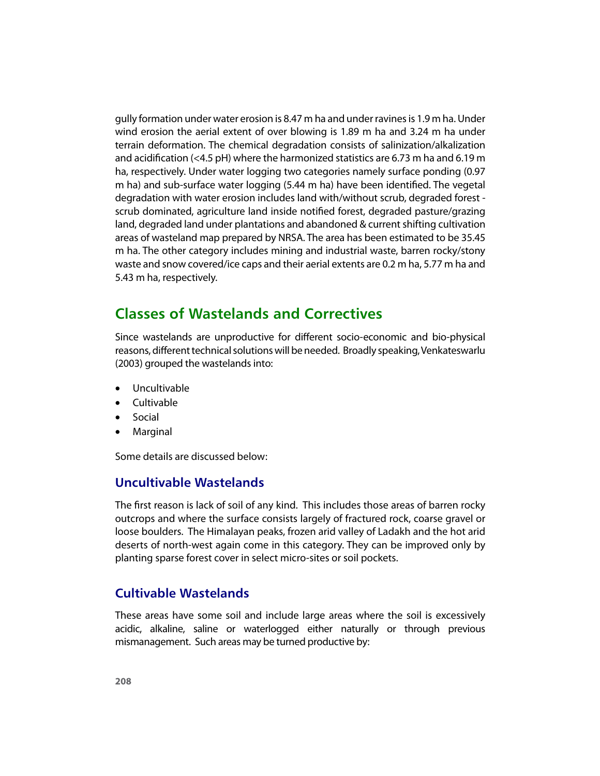gully formation under water erosion is 8.47 m ha and under ravines is 1.9 m ha. Under wind erosion the aerial extent of over blowing is 1.89 m ha and 3.24 m ha under terrain deformation. The chemical degradation consists of salinization/alkalization and acidification (<4.5 pH) where the harmonized statistics are 6.73 m ha and 6.19 m ha, respectively. Under water logging two categories namely surface ponding (0.97 m ha) and sub-surface water logging (5.44 m ha) have been identified. The vegetal degradation with water erosion includes land with/without scrub, degraded forest scrub dominated, agriculture land inside notified forest, degraded pasture/grazing land, degraded land under plantations and abandoned & current shifting cultivation areas of wasteland map prepared by NRSA. The area has been estimated to be 35.45 m ha. The other category includes mining and industrial waste, barren rocky/stony waste and snow covered/ice caps and their aerial extents are 0.2 m ha, 5.77 m ha and 5.43 m ha, respectively.

# **Classes of Wastelands and Correctives**

Since wastelands are unproductive for different socio-economic and bio-physical reasons, different technical solutions will be needed. Broadly speaking, Venkateswarlu (2003) grouped the wastelands into:

- Uncultivable
- Cultivable
- Social
- Marginal

Some details are discussed below:

#### **Uncultivable Wastelands**

The first reason is lack of soil of any kind. This includes those areas of barren rocky outcrops and where the surface consists largely of fractured rock, coarse gravel or loose boulders. The Himalayan peaks, frozen arid valley of Ladakh and the hot arid deserts of north-west again come in this category. They can be improved only by planting sparse forest cover in select micro-sites or soil pockets.

#### **Cultivable Wastelands**

These areas have some soil and include large areas where the soil is excessively acidic, alkaline, saline or waterlogged either naturally or through previous mismanagement. Such areas may be turned productive by: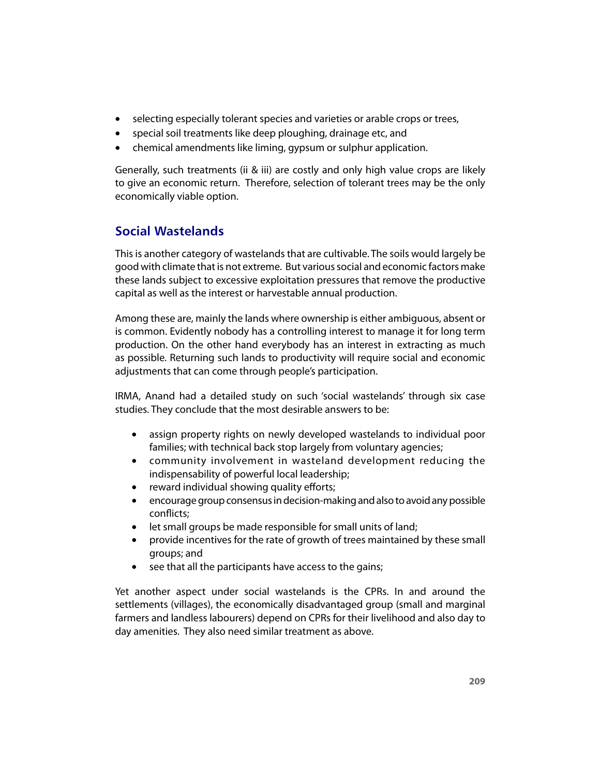- selecting especially tolerant species and varieties or arable crops or trees,
- special soil treatments like deep ploughing, drainage etc, and
- chemical amendments like liming, gypsum or sulphur application.

Generally, such treatments (ii & iii) are costly and only high value crops are likely to give an economic return. Therefore, selection of tolerant trees may be the only economically viable option.

### **Social Wastelands**

This is another category of wastelands that are cultivable. The soils would largely be good with climate that is not extreme. But various social and economic factors make these lands subject to excessive exploitation pressures that remove the productive capital as well as the interest or harvestable annual production.

Among these are, mainly the lands where ownership is either ambiguous, absent or is common. Evidently nobody has a controlling interest to manage it for long term production. On the other hand everybody has an interest in extracting as much as possible. Returning such lands to productivity will require social and economic adjustments that can come through people's participation.

IRMA, Anand had a detailed study on such 'social wastelands' through six case studies. They conclude that the most desirable answers to be:

- assign property rights on newly developed wastelands to individual poor families; with technical back stop largely from voluntary agencies;
- community involvement in wasteland development reducing the indispensability of powerful local leadership;
- $\bullet$  reward individual showing quality efforts;
- encourage group consensus in decision-making and also to avoid any possible conflicts:
- let small groups be made responsible for small units of land;
- u provide incentives for the rate of growth of trees maintained by these small groups; and
- $\bullet$  see that all the participants have access to the gains;

Yet another aspect under social wastelands is the CPRs. In and around the settlements (villages), the economically disadvantaged group (small and marginal farmers and landless labourers) depend on CPRs for their livelihood and also day to day amenities. They also need similar treatment as above.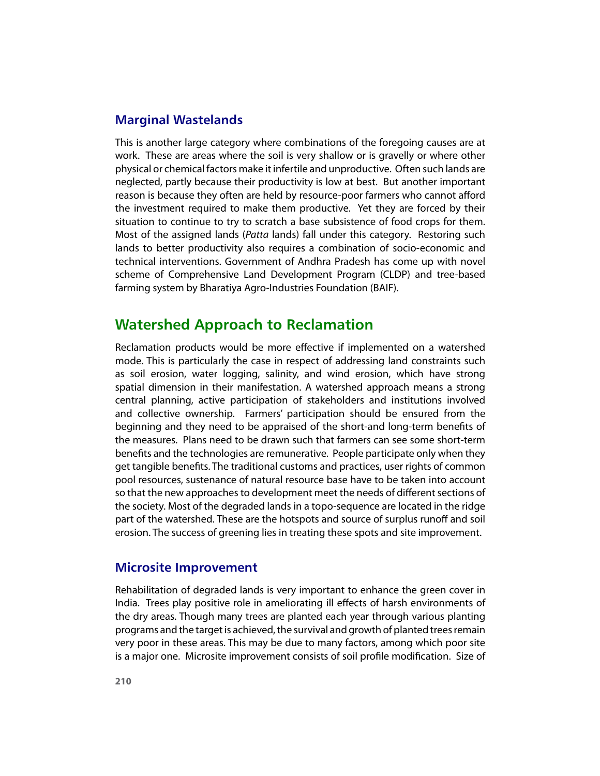#### **Marginal Wastelands**

This is another large category where combinations of the foregoing causes are at work. These are areas where the soil is very shallow or is gravelly or where other physical or chemical factors make it infertile and unproductive. Often such lands are neglected, partly because their productivity is low at best. But another important reason is because they often are held by resource-poor farmers who cannot afford the investment required to make them productive. Yet they are forced by their situation to continue to try to scratch a base subsistence of food crops for them. Most of the assigned lands (Patta lands) fall under this category. Restoring such lands to better productivity also requires a combination of socio-economic and technical interventions. Government of Andhra Pradesh has come up with novel scheme of Comprehensive Land Development Program (CLDP) and tree-based farming system by Bharatiya Agro-Industries Foundation (BAIF).

## **Watershed Approach to Reclamation**

Reclamation products would be more effective if implemented on a watershed mode. This is particularly the case in respect of addressing land constraints such as soil erosion, water logging, salinity, and wind erosion, which have strong spatial dimension in their manifestation. A watershed approach means a strong central planning, active participation of stakeholders and institutions involved and collective ownership. Farmers' participation should be ensured from the beginning and they need to be appraised of the short-and long-term benefits of the measures. Plans need to be drawn such that farmers can see some short-term benefits and the technologies are remunerative. People participate only when they get tangible benefits. The traditional customs and practices, user rights of common pool resources, sustenance of natural resource base have to be taken into account so that the new approaches to development meet the needs of different sections of the society. Most of the degraded lands in a topo-sequence are located in the ridge part of the watershed. These are the hotspots and source of surplus runoff and soil erosion. The success of greening lies in treating these spots and site improvement.

#### **Microsite Improvement**

Rehabilitation of degraded lands is very important to enhance the green cover in India. Trees play positive role in ameliorating ill effects of harsh environments of the dry areas. Though many trees are planted each year through various planting programs and the target is achieved, the survival and growth of planted trees remain very poor in these areas. This may be due to many factors, among which poor site is a major one. Microsite improvement consists of soil profile modification. Size of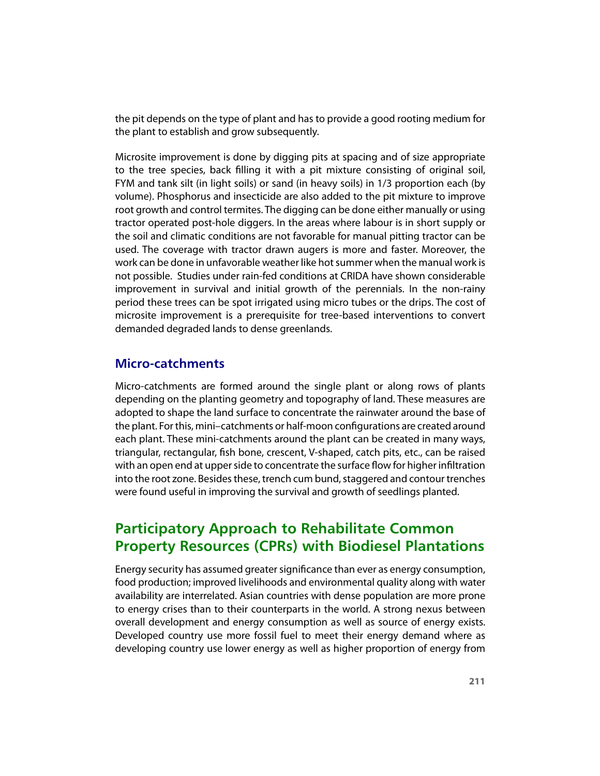the pit depends on the type of plant and has to provide a good rooting medium for the plant to establish and grow subsequently.

Microsite improvement is done by digging pits at spacing and of size appropriate to the tree species, back filling it with a pit mixture consisting of original soil, FYM and tank silt (in light soils) or sand (in heavy soils) in 1/3 proportion each (by volume). Phosphorus and insecticide are also added to the pit mixture to improve root growth and control termites. The digging can be done either manually or using tractor operated post-hole diggers. In the areas where labour is in short supply or the soil and climatic conditions are not favorable for manual pitting tractor can be used. The coverage with tractor drawn augers is more and faster. Moreover, the work can be done in unfavorable weather like hot summer when the manual work is not possible. Studies under rain-fed conditions at CRIDA have shown considerable improvement in survival and initial growth of the perennials. In the non-rainy period these trees can be spot irrigated using micro tubes or the drips. The cost of microsite improvement is a prerequisite for tree-based interventions to convert demanded degraded lands to dense greenlands.

#### **Micro-catchments**

Micro-catchments are formed around the single plant or along rows of plants depending on the planting geometry and topography of land. These measures are adopted to shape the land surface to concentrate the rainwater around the base of the plant. For this, mini-catchments or half-moon configurations are created around each plant. These mini-catchments around the plant can be created in many ways, triangular, rectangular, fish bone, crescent, V-shaped, catch pits, etc., can be raised with an open end at upper side to concentrate the surface flow for higher infiltration into the root zone. Besides these, trench cum bund, staggered and contour trenches were found useful in improving the survival and growth of seedlings planted.

# **Participatory Approach to Rehabilitate Common Property Resources (CPRs) with Biodiesel Plantations**

Energy security has assumed greater significance than ever as energy consumption, food production; improved livelihoods and environmental quality along with water availability are interrelated. Asian countries with dense population are more prone to energy crises than to their counterparts in the world. A strong nexus between overall development and energy consumption as well as source of energy exists. Developed country use more fossil fuel to meet their energy demand where as developing country use lower energy as well as higher proportion of energy from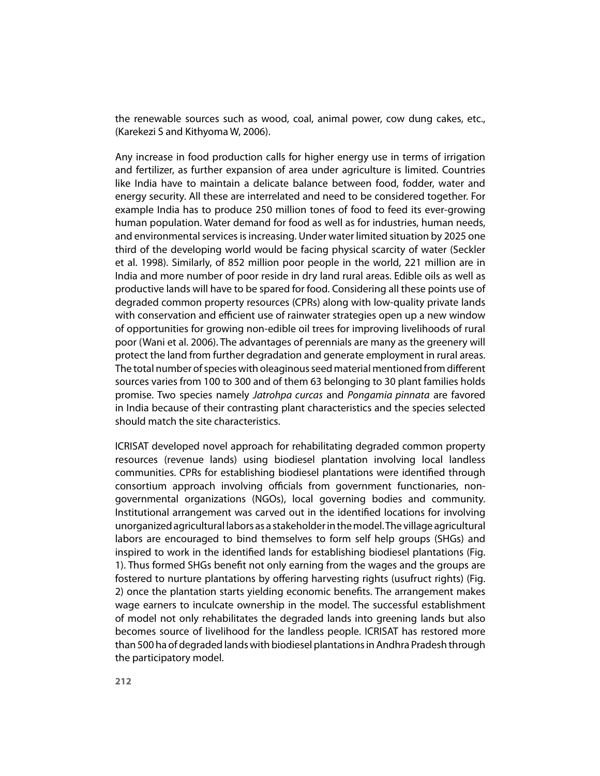the renewable sources such as wood, coal, animal power, cow dung cakes, etc., (Karekezi S and Kithyoma W, 2006).

Any increase in food production calls for higher energy use in terms of irrigation and fertilizer, as further expansion of area under agriculture is limited. Countries like India have to maintain a delicate balance between food, fodder, water and energy security. All these are interrelated and need to be considered together. For example India has to produce 250 million tones of food to feed its ever-growing human population. Water demand for food as well as for industries, human needs, and environmental services is increasing. Under water limited situation by 2025 one third of the developing world would be facing physical scarcity of water (Seckler et al. 1998). Similarly, of 852 million poor people in the world, 221 million are in India and more number of poor reside in dry land rural areas. Edible oils as well as productive lands will have to be spared for food. Considering all these points use of degraded common property resources (CPRs) along with low-quality private lands with conservation and efficient use of rainwater strategies open up a new window of opportunities for growing non-edible oil trees for improving livelihoods of rural poor (Wani et al. 2006). The advantages of perennials are many as the greenery will protect the land from further degradation and generate employment in rural areas. The total number of species with oleaginous seed material mentioned from different sources varies from 100 to 300 and of them 63 belonging to 30 plant families holds promise. Two species namely Jatrohpa curcas and Pongamia pinnata are favored in India because of their contrasting plant characteristics and the species selected should match the site characteristics.

ICRISAT developed novel approach for rehabilitating degraded common property resources (revenue lands) using biodiesel plantation involving local landless communities. CPRs for establishing biodiesel plantations were identified through consortium approach involving officials from government functionaries, nongovernmental organizations (NGOs), local governing bodies and community. Institutional arrangement was carved out in the identified locations for involving unorganized agricultural labors as a stakeholder in the model. The village agricultural labors are encouraged to bind themselves to form self help groups (SHGs) and inspired to work in the identified lands for establishing biodiesel plantations (Fig. 1). Thus formed SHGs benefit not only earning from the wages and the groups are fostered to nurture plantations by offering harvesting rights (usufruct rights) (Fig. 2) once the plantation starts yielding economic benefits. The arrangement makes wage earners to inculcate ownership in the model. The successful establishment of model not only rehabilitates the degraded lands into greening lands but also becomes source of livelihood for the landless people. ICRISAT has restored more than 500 ha of degraded lands with biodiesel plantations in Andhra Pradesh through the participatory model.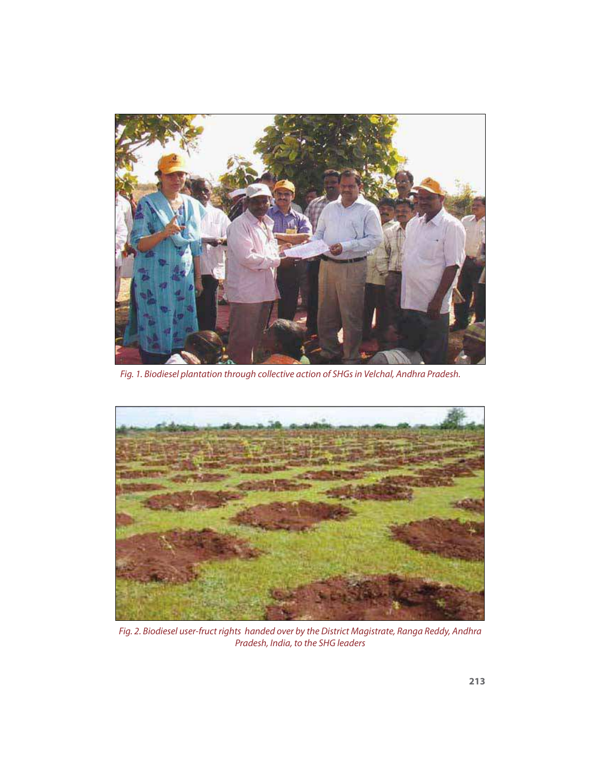

Fig. 1. Biodiesel plantation through collective action of SHGs in Velchal, Andhra Pradesh.



Fig. 2. Biodiesel user-fruct rights handed over by the District Magistrate, Ranga Reddy, Andhra Pradesh, India, to the SHG leaders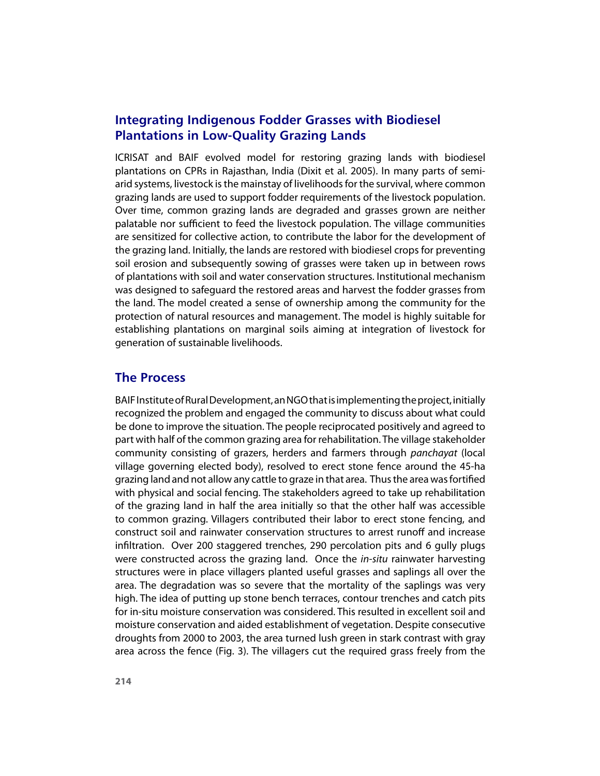### **Integrating Indigenous Fodder Grasses with Biodiesel Plantations in Low-Quality Grazing Lands**

ICRISAT and BAIF evolved model for restoring grazing lands with biodiesel plantations on CPRs in Rajasthan, India (Dixit et al. 2005). In many parts of semiarid systems, livestock is the mainstay of livelihoods for the survival, where common grazing lands are used to support fodder requirements of the livestock population. Over time, common grazing lands are degraded and grasses grown are neither palatable nor sufficient to feed the livestock population. The village communities are sensitized for collective action, to contribute the labor for the development of the grazing land. Initially, the lands are restored with biodiesel crops for preventing soil erosion and subsequently sowing of grasses were taken up in between rows of plantations with soil and water conservation structures. Institutional mechanism was designed to safeguard the restored areas and harvest the fodder grasses from the land. The model created a sense of ownership among the community for the protection of natural resources and management. The model is highly suitable for establishing plantations on marginal soils aiming at integration of livestock for generation of sustainable livelihoods.

#### **The Process**

BAIF Institute of Rural Development, an NGO that is implementing the project, initially recognized the problem and engaged the community to discuss about what could be done to improve the situation. The people reciprocated positively and agreed to part with half of the common grazing area for rehabilitation. The village stakeholder community consisting of grazers, herders and farmers through panchayat (local village governing elected body), resolved to erect stone fence around the 45-ha grazing land and not allow any cattle to graze in that area. Thus the area was fortified with physical and social fencing. The stakeholders agreed to take up rehabilitation of the grazing land in half the area initially so that the other half was accessible to common grazing. Villagers contributed their labor to erect stone fencing, and construct soil and rainwater conservation structures to arrest runoff and increase infiltration. Over 200 staggered trenches, 290 percolation pits and 6 gully plugs were constructed across the grazing land. Once the in-situ rainwater harvesting structures were in place villagers planted useful grasses and saplings all over the area. The degradation was so severe that the mortality of the saplings was very high. The idea of putting up stone bench terraces, contour trenches and catch pits for in-situ moisture conservation was considered. This resulted in excellent soil and moisture conservation and aided establishment of vegetation. Despite consecutive droughts from 2000 to 2003, the area turned lush green in stark contrast with gray area across the fence (Fig. 3). The villagers cut the required grass freely from the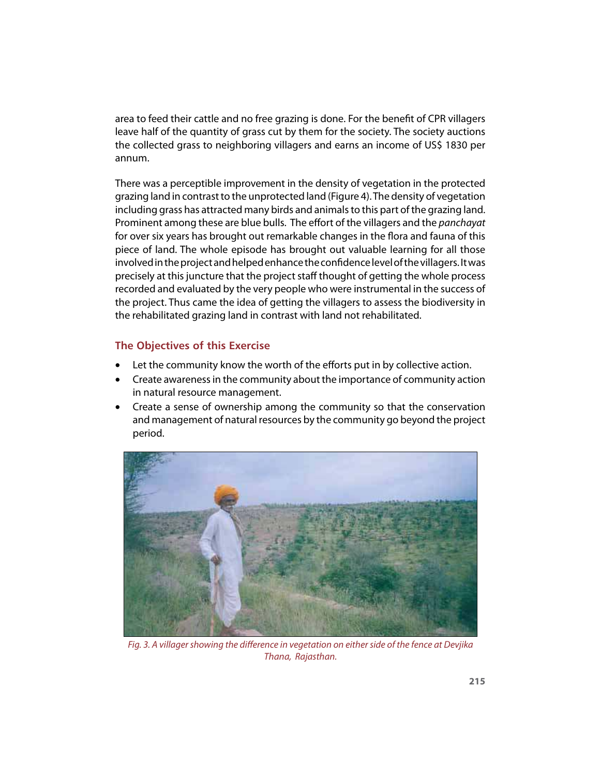area to feed their cattle and no free grazing is done. For the benefit of CPR villagers leave half of the quantity of grass cut by them for the society. The society auctions the collected grass to neighboring villagers and earns an income of US\$ 1830 per annum.

There was a perceptible improvement in the density of vegetation in the protected grazing land in contrast to the unprotected land (Figure 4). The density of vegetation including grass has attracted many birds and animals to this part of the grazing land. Prominent among these are blue bulls. The effort of the villagers and the *panchayat* for over six years has brought out remarkable changes in the flora and fauna of this piece of land. The whole episode has brought out valuable learning for all those involved in the project and helped enhance the confidence level of the villagers. It was precisely at this juncture that the project staff thought of getting the whole process recorded and evaluated by the very people who were instrumental in the success of the project. Thus came the idea of getting the villagers to assess the biodiversity in the rehabilitated grazing land in contrast with land not rehabilitated.

#### **The Objectives of this Exercise**

- Let the community know the worth of the efforts put in by collective action.
- u Create awareness in the community about the importance of community action in natural resource management.
- Create a sense of ownership among the community so that the conservation and management of natural resources by the community go beyond the project period.



Fig. 3. A villager showing the difference in vegetation on either side of the fence at Devjika Thana, Rajasthan.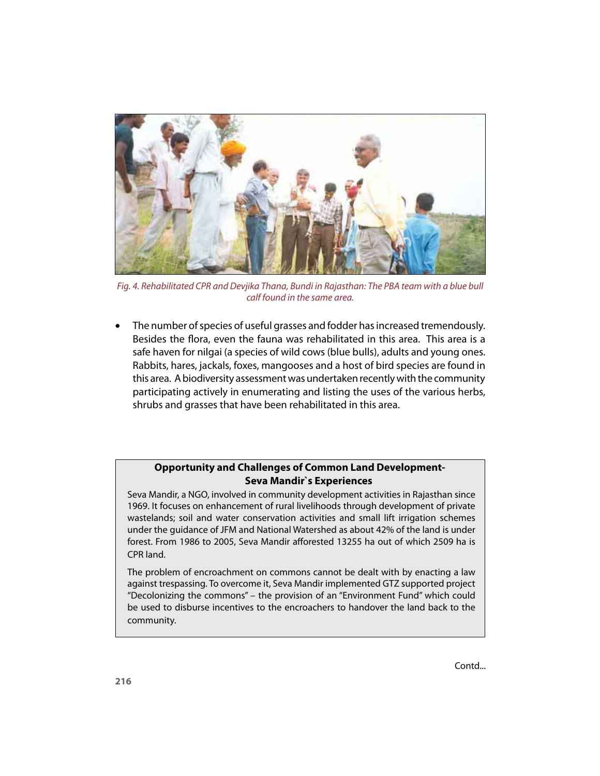

Fig. 4. Rehabilitated CPR and Devjika Thana, Bundi in Rajasthan: The PBA team with a blue bull calf found in the same area.

• The number of species of useful grasses and fodder has increased tremendously. Besides the flora, even the fauna was rehabilitated in this area. This area is a safe haven for nilgai (a species of wild cows (blue bulls), adults and young ones. Rabbits, hares, jackals, foxes, mangooses and a host of bird species are found in this area. A biodiversity assessment was undertaken recently with the community participating actively in enumerating and listing the uses of the various herbs, shrubs and grasses that have been rehabilitated in this area.

#### **Opportunity and Challenges of Common Land Development-Seva Mandir`s Experiences**

Seva Mandir, a NGO, involved in community development activities in Rajasthan since 1969. It focuses on enhancement of rural livelihoods through development of private wastelands; soil and water conservation activities and small lift irrigation schemes under the guidance of JFM and National Watershed as about 42% of the land is under forest. From 1986 to 2005, Seva Mandir afforested 13255 ha out of which 2509 ha is CPR land.

The problem of encroachment on commons cannot be dealt with by enacting a law against trespassing. To overcome it, Seva Mandir implemented GTZ supported project "Decolonizing the commons" – the provision of an "Environment Fund" which could be used to disburse incentives to the encroachers to handover the land back to the community.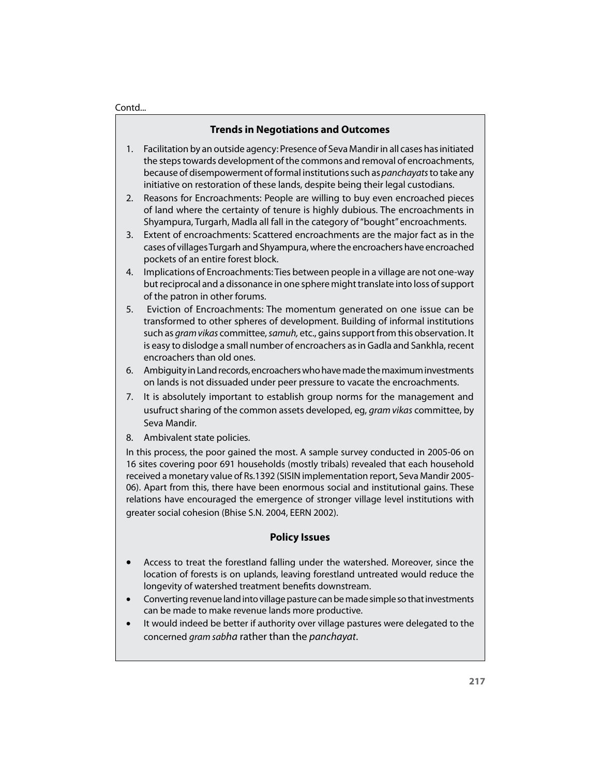#### Contd...

#### **Trends in Negotiations and Outcomes**

- 1. Facilitation by an outside agency: Presence of Seva Mandir in all cases has initiated the steps towards development of the commons and removal of encroachments, because of disempowerment of formal institutions such as *panchayats* to take any initiative on restoration of these lands, despite being their legal custodians.
- 2. Reasons for Encroachments: People are willing to buy even encroached pieces of land where the certainty of tenure is highly dubious. The encroachments in Shyampura, Turgarh, Madla all fall in the category of "bought" encroachments.
- 3. Extent of encroachments: Scattered encroachments are the major fact as in the cases of villages Turgarh and Shyampura, where the encroachers have encroached pockets of an entire forest block.
- 4. Implications of Encroachments: Ties between people in a village are not one-way but reciprocal and a dissonance in one sphere might translate into loss of support of the patron in other forums.
- 5. Eviction of Encroachments: The momentum generated on one issue can be transformed to other spheres of development. Building of informal institutions such as *gram vikas* committee, samuh, etc., gains support from this observation. It is easy to dislodge a small number of encroachers as in Gadla and Sankhla, recent encroachers than old ones.
- 6. Ambiguity in Land records, encroachers who have made the maximum investments on lands is not dissuaded under peer pressure to vacate the encroachments.
- 7. It is absolutely important to establish group norms for the management and usufruct sharing of the common assets developed, eg, *gram vikas* committee, by Seva Mandir.
- 8. Ambivalent state policies.

In this process, the poor gained the most. A sample survey conducted in 2005-06 on 16 sites covering poor 691 households (mostly tribals) revealed that each household received a monetary value of Rs.1392 (SISIN implementation report, Seva Mandir 2005- 06). Apart from this, there have been enormous social and institutional gains. These relations have encouraged the emergence of stronger village level institutions with greater social cohesion (Bhise S.N. 2004, EERN 2002).

#### **Policy Issues**

- Access to treat the forestland falling under the watershed. Moreover, since the location of forests is on uplands, leaving forestland untreated would reduce the longevity of watershed treatment benefits downstream.
- Converting revenue land into village pasture can be made simple so that investments can be made to make revenue lands more productive.
- It would indeed be better if authority over village pastures were delegated to the concerned gram sabha rather than the panchayat.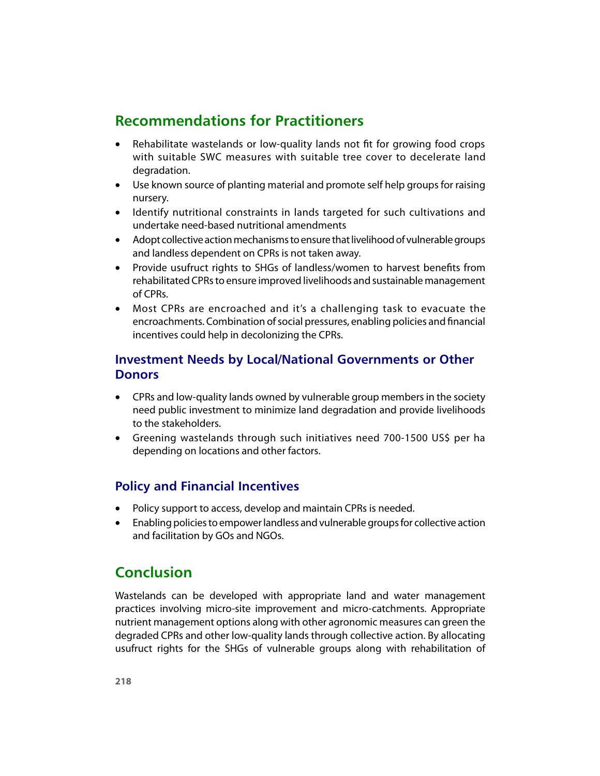# **Recommendations for Practitioners**

- Rehabilitate wastelands or low-quality lands not fit for growing food crops with suitable SWC measures with suitable tree cover to decelerate land degradation.
- Use known source of planting material and promote self help groups for raising nursery.
- Identify nutritional constraints in lands targeted for such cultivations and undertake need-based nutritional amendments
- Adopt collective action mechanisms to ensure that livelihood of vulnerable groups and landless dependent on CPRs is not taken away.
- Provide usufruct rights to SHGs of landless/women to harvest benefits from rehabilitated CPRs to ensure improved livelihoods and sustainable management of CPRs.
- Most CPRs are encroached and it's a challenging task to evacuate the encroachments. Combination of social pressures, enabling policies and financial incentives could help in decolonizing the CPRs.

### **Investment Needs by Local/National Governments or Other Donors**

- CPRs and low-quality lands owned by vulnerable group members in the society need public investment to minimize land degradation and provide livelihoods to the stakeholders.
- Greening wastelands through such initiatives need 700-1500 US\$ per ha depending on locations and other factors.

## **Policy and Financial Incentives**

- Policy support to access, develop and maintain CPRs is needed.
- **•** Enabling policies to empower landless and vulnerable groups for collective action and facilitation by GOs and NGOs.

# **Conclusion**

Wastelands can be developed with appropriate land and water management practices involving micro-site improvement and micro-catchments. Appropriate nutrient management options along with other agronomic measures can green the degraded CPRs and other low-quality lands through collective action. By allocating usufruct rights for the SHGs of vulnerable groups along with rehabilitation of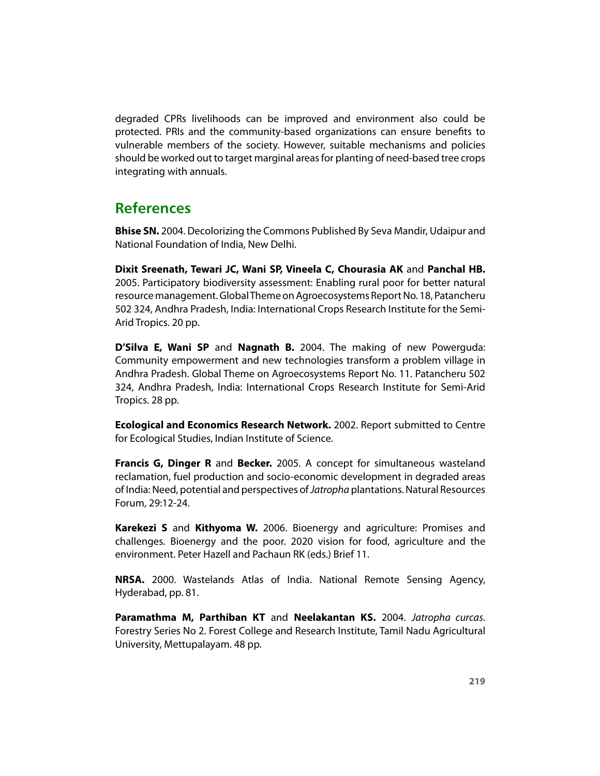degraded CPRs livelihoods can be improved and environment also could be protected. PRIs and the community-based organizations can ensure benefits to vulnerable members of the society. However, suitable mechanisms and policies should be worked out to target marginal areas for planting of need-based tree crops integrating with annuals.

# **References**

**Bhise SN.** 2004. Decolorizing the Commons Published By Seva Mandir, Udaipur and National Foundation of India, New Delhi.

**Dixit Sreenath, Tewari JC, Wani SP, Vineela C, Chourasia AK** and **Panchal HB.** 2005. Participatory biodiversity assessment: Enabling rural poor for better natural resource management. Global Theme on Agroecosystems Report No. 18, Patancheru 502 324, Andhra Pradesh, India: International Crops Research Institute for the Semi-Arid Tropics. 20 pp.

**D'Silva E, Wani SP** and **Nagnath B.** 2004. The making of new Powerguda: Community empowerment and new technologies transform a problem village in Andhra Pradesh. Global Theme on Agroecosystems Report No. 11. Patancheru 502 324, Andhra Pradesh, India: International Crops Research Institute for Semi-Arid Tropics. 28 pp.

**Ecological and Economics Research Network.** 2002. Report submitted to Centre for Ecological Studies, Indian Institute of Science.

**Francis G, Dinger R** and **Becker.** 2005. A concept for simultaneous wasteland reclamation, fuel production and socio-economic development in degraded areas of India: Need, potential and perspectives of Jatropha plantations. Natural Resources Forum, 29:12-24.

**Karekezi S** and **Kithyoma W.** 2006. Bioenergy and agriculture: Promises and challenges. Bioenergy and the poor. 2020 vision for food, agriculture and the environment. Peter Hazell and Pachaun RK (eds.) Brief 11.

**NRSA.** 2000. Wastelands Atlas of India. National Remote Sensing Agency, Hyderabad, pp. 81.

**Paramathma M, Parthiban KT** and **Neelakantan KS.** 2004. Jatropha curcas. Forestry Series No 2. Forest College and Research Institute, Tamil Nadu Agricultural University, Mettupalayam. 48 pp.